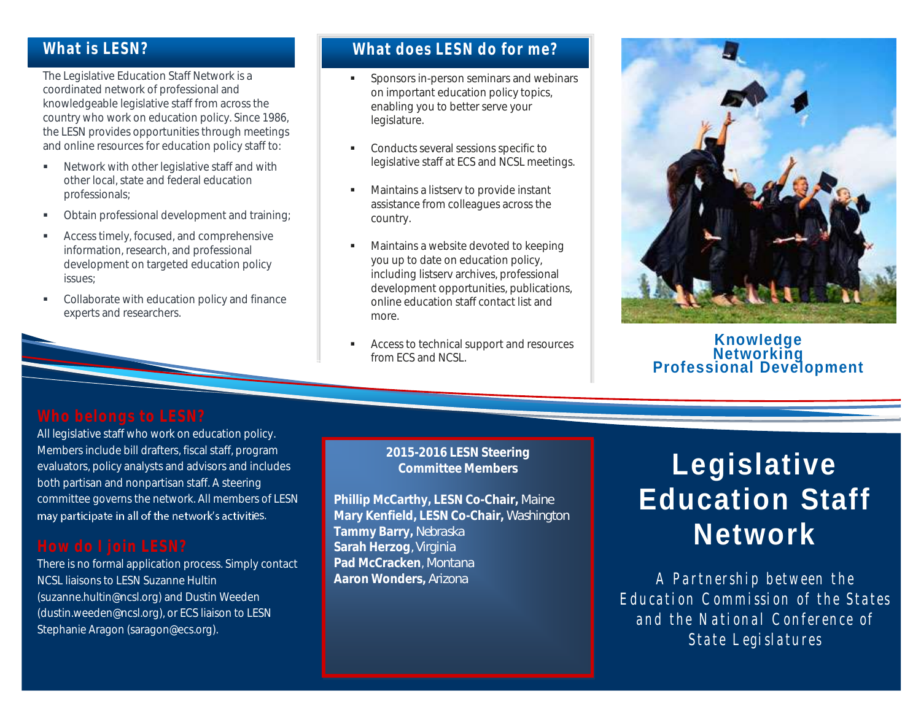## **What is LESN?**

The Legislative Education Staff Network is a coordinated network of professional and knowledgeable legislative staff from across the country who work on education policy. Since 1986, the LESN provides opportunities through meetings and online resources for education policy staff to:

- **Network with other legislative staff and with** other local, state and federal education professionals;
- **•** Obtain professional development and training;
- **Access timely, focused, and comprehensive** information, research, and professional development on targeted education policy issues;
- Collaborate with education policy and finance experts and researchers.

# **What does LESN do for me?**

- Sponsors in-person seminars and webinars on important education policy topics, enabling you to better serve your legislature.
- **Conducts several sessions specific to** legislative staff at ECS and NCSL meetings.
- **Maintains a listserv to provide instant** assistance from colleagues across the country.
- **Maintains a website devoted to keeping** you up to date on education policy, including listserv archives, professional development opportunities, publications, online education staff contact list and more.
- **Access to technical support and resources** from ECS and NCSL.



## **Knowledge Networking Professional Development**

All legislative staff who work on education policy. Members include bill drafters, fiscal staff, program evaluators, policy analysts and advisors and includes both partisan and nonpartisan staff. A steering committee governs the network. All members of LESN may participate in all of the network's activities.

There is no formal application process. Simply contact NCSL liaisons to LESN Suzanne Hultin (suzanne.hultin@ncsl.org) and Dustin Weeden (dustin.weeden@ncsl.org), or ECS liaison to LESN Stephanie Aragon (saragon@ecs.org).

### **2015-2016 LESN Steering Committee Members**

**Phillip McCarthy, LESN Co-Chair,** *Maine* **Mary Kenfield, LESN Co-Chair,** *Washington* **Tammy Barry,** *Nebraska* **Sarah Herzog***, Virginia* **Pad McCracken**, *Montana* **Aaron Wonders,** *Arizona*

# **Legislative Education Staff Network**

*A Pa r t n e r s h i p b e t w e e n t h e*  Education Commission of the States and the National Conference of *State Legislatures*